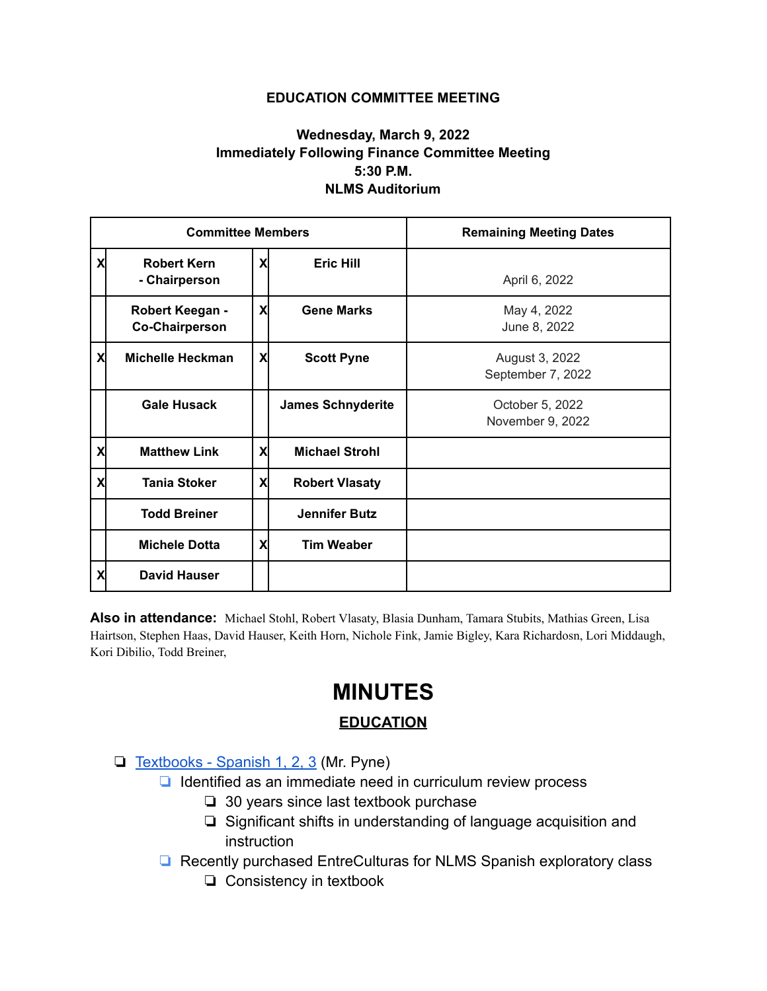## **EDUCATION COMMITTEE MEETING**

## **Wednesday, March 9, 2022 Immediately Following Finance Committee Meeting 5:30 P.M. NLMS Auditorium**

| <b>Committee Members</b> |                                          |   |                          | <b>Remaining Meeting Dates</b>      |
|--------------------------|------------------------------------------|---|--------------------------|-------------------------------------|
| X                        | <b>Robert Kern</b><br>- Chairperson      | X | <b>Eric Hill</b>         | April 6, 2022                       |
|                          | Robert Keegan -<br><b>Co-Chairperson</b> | X | <b>Gene Marks</b>        | May 4, 2022<br>June 8, 2022         |
| X                        | <b>Michelle Heckman</b>                  | X | <b>Scott Pyne</b>        | August 3, 2022<br>September 7, 2022 |
|                          | <b>Gale Husack</b>                       |   | <b>James Schnyderite</b> | October 5, 2022<br>November 9, 2022 |
| X                        | <b>Matthew Link</b>                      | X | <b>Michael Strohl</b>    |                                     |
| X                        | <b>Tania Stoker</b>                      | X | <b>Robert Vlasaty</b>    |                                     |
|                          | <b>Todd Breiner</b>                      |   | <b>Jennifer Butz</b>     |                                     |
|                          | <b>Michele Dotta</b>                     | X | <b>Tim Weaber</b>        |                                     |
| X                        | <b>David Hauser</b>                      |   |                          |                                     |

**Also in attendance:** Michael Stohl, Robert Vlasaty, Blasia Dunham, Tamara Stubits, Mathias Green, Lisa Hairtson, Stephen Haas, David Hauser, Keith Horn, Nichole Fink, Jamie Bigley, Kara Richardosn, Lori Middaugh, Kori Dibilio, Todd Breiner,

## **MINUTES**

## **EDUCATION**

- ❏ [Textbooks Spanish 1, 2, 3](https://drive.google.com/file/d/1BzSLetKRuu0EPCoNXEZk2-MJxFVzo8s2/view) (Mr. Pyne)
	- ❏ Identified as an immediate need in curriculum review process
		- ❏ 30 years since last textbook purchase
		- ❏ Significant shifts in understanding of language acquisition and **instruction**
	- ❏ Recently purchased EntreCulturas for NLMS Spanish exploratory class
		- ❏ Consistency in textbook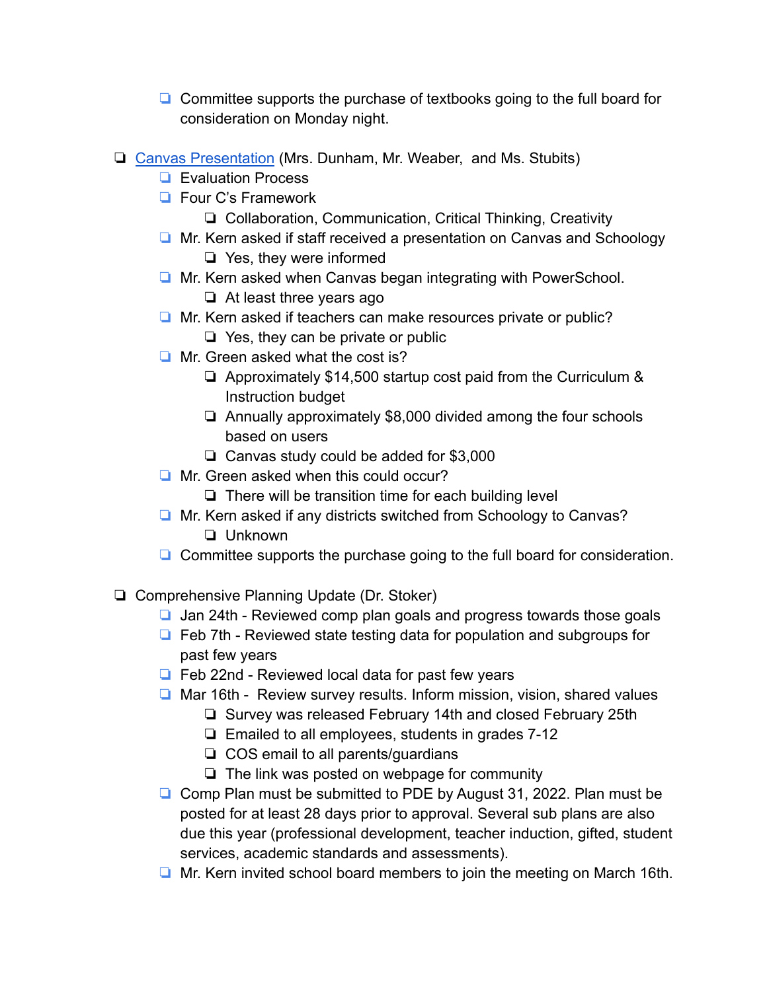- ❏ Committee supports the purchase of textbooks going to the full board for consideration on Monday night.
- ❏ [Canvas Presentation](https://drive.google.com/file/d/1bE16M72MEik-VXzWl_TLpqX9tpqOyuDy/view?usp=sharing) (Mrs. Dunham, Mr. Weaber, and Ms. Stubits)
	- ❏ Evaluation Process
	- ❏ Four C's Framework
		- ❏ Collaboration, Communication, Critical Thinking, Creativity
	- ❏ Mr. Kern asked if staff received a presentation on Canvas and Schoology ❏ Yes, they were informed
	- ❏ Mr. Kern asked when Canvas began integrating with PowerSchool.
		- ❏ At least three years ago
	- ❏ Mr. Kern asked if teachers can make resources private or public?
		- ❏ Yes, they can be private or public
	- ❏ Mr. Green asked what the cost is?
		- ❏ Approximately \$14,500 startup cost paid from the Curriculum & Instruction budget
		- ❏ Annually approximately \$8,000 divided among the four schools based on users
		- ❏ Canvas study could be added for \$3,000
	- ❏ Mr. Green asked when this could occur?
		- ❏ There will be transition time for each building level
	- ❏ Mr. Kern asked if any districts switched from Schoology to Canvas? ❏ Unknown
	- ❏ Committee supports the purchase going to the full board for consideration.
- ❏ Comprehensive Planning Update (Dr. Stoker)
	- ❏ Jan 24th Reviewed comp plan goals and progress towards those goals
	- ❏ Feb 7th Reviewed state testing data for population and subgroups for past few years
	- ❏ Feb 22nd Reviewed local data for past few years
	- ❏ Mar 16th Review survey results. Inform mission, vision, shared values
		- ❏ Survey was released February 14th and closed February 25th
		- ❏ Emailed to all employees, students in grades 7-12
		- ❏ COS email to all parents/guardians
		- ❏ The link was posted on webpage for community
	- ❏ Comp Plan must be submitted to PDE by August 31, 2022. Plan must be posted for at least 28 days prior to approval. Several sub plans are also due this year (professional development, teacher induction, gifted, student services, academic standards and assessments).
	- ❏ Mr. Kern invited school board members to join the meeting on March 16th.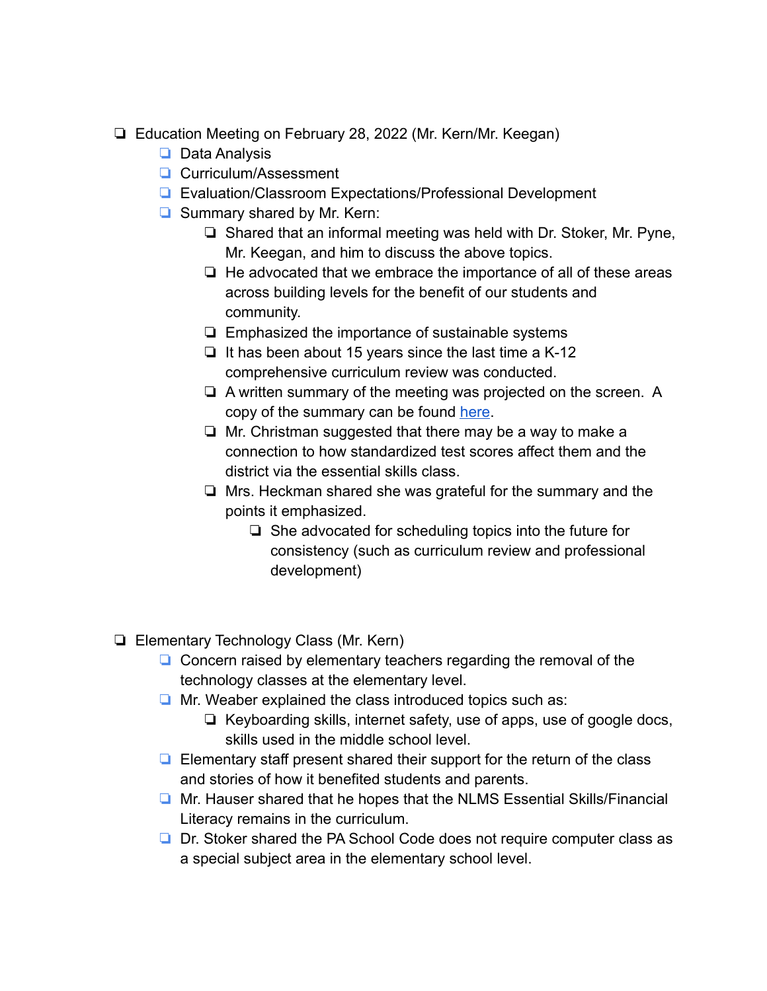- ❏ Education Meeting on February 28, 2022 (Mr. Kern/Mr. Keegan)
	- ❏ Data Analysis
	- ❏ Curriculum/Assessment
	- ❏ Evaluation/Classroom Expectations/Professional Development
	- ❏ Summary shared by Mr. Kern:
		- ❏ Shared that an informal meeting was held with Dr. Stoker, Mr. Pyne, Mr. Keegan, and him to discuss the above topics.
		- ❏ He advocated that we embrace the importance of all of these areas across building levels for the benefit of our students and community.
		- ❏ Emphasized the importance of sustainable systems
		- ❏ It has been about 15 years since the last time a K-12 comprehensive curriculum review was conducted.
		- ❏ A written summary of the meeting was projected on the screen. A copy of the summary can be found [here](https://drive.google.com/file/d/12t3wLZ0yDEGS42onY1w3v_koH0jNHL_8/view?usp=sharing).
		- ❏ Mr. Christman suggested that there may be a way to make a connection to how standardized test scores affect them and the district via the essential skills class.
		- ❏ Mrs. Heckman shared she was grateful for the summary and the points it emphasized.
			- ❏ She advocated for scheduling topics into the future for consistency (such as curriculum review and professional development)
- ❏ Elementary Technology Class (Mr. Kern)
	- ❏ Concern raised by elementary teachers regarding the removal of the technology classes at the elementary level.
	- ❏ Mr. Weaber explained the class introduced topics such as:
		- ❏ Keyboarding skills, internet safety, use of apps, use of google docs, skills used in the middle school level.
	- ❏ Elementary staff present shared their support for the return of the class and stories of how it benefited students and parents.
	- ❏ Mr. Hauser shared that he hopes that the NLMS Essential Skills/Financial Literacy remains in the curriculum.
	- ❏ Dr. Stoker shared the PA School Code does not require computer class as a special subject area in the elementary school level.